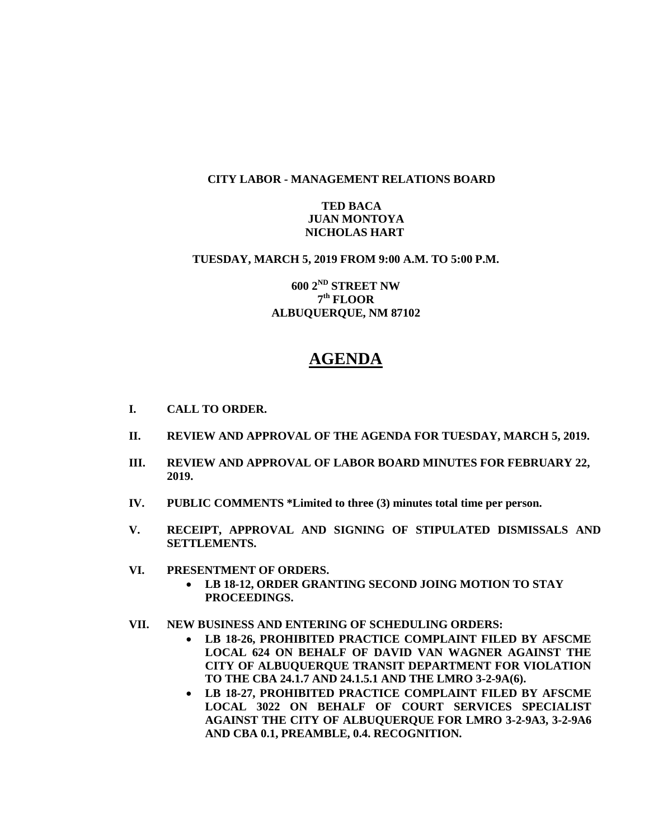### **CITY LABOR - MANAGEMENT RELATIONS BOARD**

### **TED BACA JUAN MONTOYA NICHOLAS HART**

### **TUESDAY, MARCH 5, 2019 FROM 9:00 A.M. TO 5:00 P.M.**

**600 2ND STREET NW 7 th FLOOR ALBUQUERQUE, NM 87102**

# **AGENDA**

- **I. CALL TO ORDER.**
- **II. REVIEW AND APPROVAL OF THE AGENDA FOR TUESDAY, MARCH 5, 2019.**
- **III. REVIEW AND APPROVAL OF LABOR BOARD MINUTES FOR FEBRUARY 22, 2019.**
- **IV. PUBLIC COMMENTS \*Limited to three (3) minutes total time per person.**
- **V. RECEIPT, APPROVAL AND SIGNING OF STIPULATED DISMISSALS AND SETTLEMENTS.**
- **VI. PRESENTMENT OF ORDERS.**
	- **LB 18-12, ORDER GRANTING SECOND JOING MOTION TO STAY PROCEEDINGS.**
- **VII. NEW BUSINESS AND ENTERING OF SCHEDULING ORDERS:**
	- **LB 18-26, PROHIBITED PRACTICE COMPLAINT FILED BY AFSCME LOCAL 624 ON BEHALF OF DAVID VAN WAGNER AGAINST THE CITY OF ALBUQUERQUE TRANSIT DEPARTMENT FOR VIOLATION TO THE CBA 24.1.7 AND 24.1.5.1 AND THE LMRO 3-2-9A(6).**
	- **LB 18-27, PROHIBITED PRACTICE COMPLAINT FILED BY AFSCME LOCAL 3022 ON BEHALF OF COURT SERVICES SPECIALIST AGAINST THE CITY OF ALBUQUERQUE FOR LMRO 3-2-9A3, 3-2-9A6 AND CBA 0.1, PREAMBLE, 0.4. RECOGNITION.**